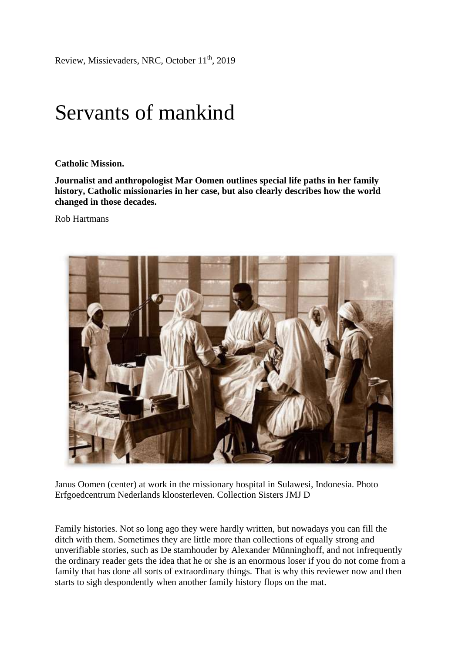Review, Missievaders, NRC, October 11th, 2019

## Servants of mankind

**Catholic Mission.**

**Journalist and anthropologist Mar Oomen outlines special life paths in her family history, Catholic missionaries in her case, but also clearly describes how the world changed in those decades.**

Rob Hartmans



Janus Oomen (center) at work in the missionary hospital in Sulawesi, Indonesia. Photo Erfgoedcentrum Nederlands kloosterleven. Collection Sisters JMJ D

Family histories. Not so long ago they were hardly written, but nowadays you can fill the ditch with them. Sometimes they are little more than collections of equally strong and unverifiable stories, such as De stamhouder by Alexander Münninghoff, and not infrequently the ordinary reader gets the idea that he or she is an enormous loser if you do not come from a family that has done all sorts of extraordinary things. That is why this reviewer now and then starts to sigh despondently when another family history flops on the mat.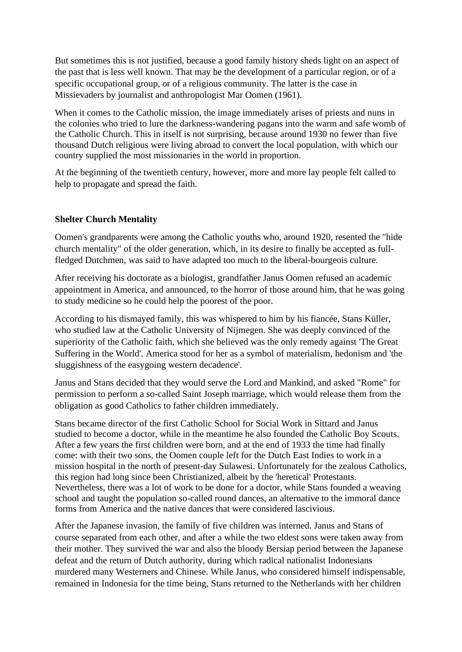But sometimes this is not justified, because a good family history sheds light on an aspect of the past that is less well known. That may be the development of a particular region, or of a specific occupational group, or of a religious community. The latter is the case in Missievaders by journalist and anthropologist Mar Oomen (1961).

When it comes to the Catholic mission, the image immediately arises of priests and nuns in the colonies who tried to lure the darkness-wandering pagans into the warm and safe womb of the Catholic Church. This in itself is not surprising, because around 1930 no fewer than five thousand Dutch religious were living abroad to convert the local population, with which our country supplied the most missionaries in the world in proportion.

At the beginning of the twentieth century, however, more and more lay people felt called to help to propagate and spread the faith.

## **Shelter Church Mentality**

Oomen's grandparents were among the Catholic youths who, around 1920, resented the "hide church mentality" of the older generation, which, in its desire to finally be accepted as fullfledged Dutchmen, was said to have adapted too much to the liberal-bourgeois culture.

After receiving his doctorate as a biologist, grandfather Janus Oomen refused an academic appointment in America, and announced, to the horror of those around him, that he was going to study medicine so he could help the poorest of the poor.

According to his dismayed family, this was whispered to him by his fiancée, Stans Küller, who studied law at the Catholic University of Nijmegen. She was deeply convinced of the superiority of the Catholic faith, which she believed was the only remedy against 'The Great Suffering in the World'. America stood for her as a symbol of materialism, hedonism and 'the sluggishness of the easygoing western decadence'.

Janus and Stans decided that they would serve the Lord and Mankind, and asked "Rome" for permission to perform a so-called Saint Joseph marriage, which would release them from the obligation as good Catholics to father children immediately.

Stans became director of the first Catholic School for Social Work in Sittard and Janus studied to become a doctor, while in the meantime he also founded the Catholic Boy Scouts. After a few years the first children were born, and at the end of 1933 the time had finally come: with their two sons, the Oomen couple left for the Dutch East Indies to work in a mission hospital in the north of present-day Sulawesi. Unfortunately for the zealous Catholics, this region had long since been Christianized, albeit by the 'heretical' Protestants. Nevertheless, there was a lot of work to be done for a doctor, while Stans founded a weaving school and taught the population so-called round dances, an alternative to the immoral dance forms from America and the native dances that were considered lascivious.

After the Japanese invasion, the family of five children was interned. Janus and Stans of course separated from each other, and after a while the two eldest sons were taken away from their mother. They survived the war and also the bloody Bersiap period between the Japanese defeat and the return of Dutch authority, during which radical nationalist Indonesians murdered many Westerners and Chinese. While Janus, who considered himself indispensable, remained in Indonesia for the time being, Stans returned to the Netherlands with her children